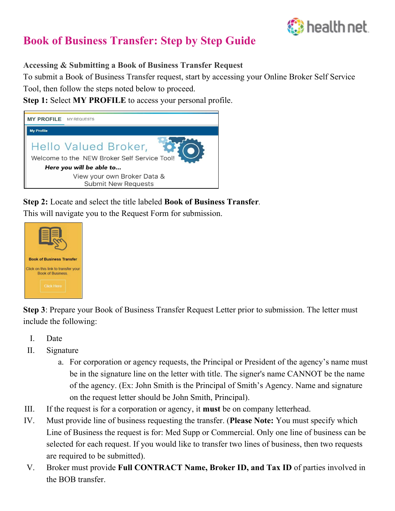

# **Book of Business Transfer: Step by Step Guide**

## **Accessing & Submitting a Book of Business Transfer Request**

To submit a Book of Business Transfer request, start by accessing your Online Broker Self Service Tool, then follow the steps noted below to proceed.

**Step 1:** Select **MY PROFILE** to access your personal profile.



**Step 2:** Locate and select the title labeled **Book of Business Transfer***.* 

This will navigate you to the Request Form for submission.



**Step 3**: Prepare your Book of Business Transfer Request Letter prior to submission. The letter must include the following:

- I. Date
- II. Signature
	- a. For corporation or agency requests, the Principal or President of the agency's name must be in the signature line on the letter with title. The signer's name CANNOT be the name of the agency. (Ex: John Smith is the Principal of Smith's Agency. Name and signature on the request letter should be John Smith, Principal).
- III. If the request is for a corporation or agency, it **must** be on company letterhead.
- IV. Must provide line of business requesting the transfer. (**Please Note:** You must specify which Line of Business the request is for: Med Supp or Commercial. Only one line of business can be selected for each request. If you would like to transfer two lines of business, then two requests are required to be submitted).
- V. Broker must provide **Full CONTRACT Name, Broker ID, and Tax ID** of parties involved in the BOB transfer.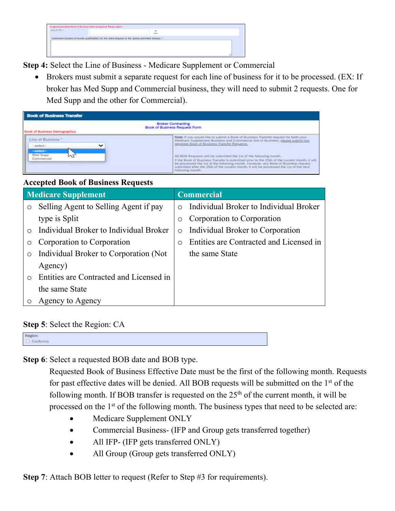

**Step 4:** Select the Line of Business - Medicare Supplement or Commercial

• Brokers must submit a separate request for each line of business for it to be processed. (EX: If broker has Med Supp and Commercial business, they will need to submit 2 requests. One for Med Supp and the other for Commercial).

| <b>Book of Business Transfer</b><br><b>Broker Contracting</b><br>Book of Business Request Form<br>Book of Business Demographics |  |  |  |  |
|---------------------------------------------------------------------------------------------------------------------------------|--|--|--|--|
|                                                                                                                                 |  |  |  |  |

## **Accepted Book of Business Requests**

| <b>Medicare Supplement</b> |                                         | <b>Commercial</b> |                                         |
|----------------------------|-----------------------------------------|-------------------|-----------------------------------------|
| $\circ$                    | Selling Agent to Selling Agent if pay   | $\bigcap$         | Individual Broker to Individual Broker  |
|                            | type is Split                           | $\circ$           | Corporation to Corporation              |
| $\bigcap$                  | Individual Broker to Individual Broker  | $\circ$           | Individual Broker to Corporation        |
| $\circ$                    | Corporation to Corporation              | $\circ$           | Entities are Contracted and Licensed in |
| $\circ$                    | Individual Broker to Corporation (Not   |                   | the same State                          |
|                            | Agency)                                 |                   |                                         |
| $\bigcap$                  | Entities are Contracted and Licensed in |                   |                                         |
|                            | the same State                          |                   |                                         |
|                            | Agency to Agency                        |                   |                                         |

### **Step 5**: Select the Region: CA

| Region:    |  |  |
|------------|--|--|
|            |  |  |
| California |  |  |
|            |  |  |
|            |  |  |

**Step 6**: Select a requested BOB date and BOB type.

Requested Book of Business Effective Date must be the first of the following month. Requests for past effective dates will be denied. All BOB requests will be submitted on the 1st of the following month. If BOB transfer is requested on the  $25<sup>th</sup>$  of the current month, it will be processed on the 1<sup>st</sup> of the following month. The business types that need to be selected are:

- Medicare Supplement ONLY
- Commercial Business- (IFP and Group gets transferred together)
- All IFP- (IFP gets transferred ONLY)
- All Group (Group gets transferred ONLY)

**Step 7:** Attach BOB letter to request (Refer to Step #3 for requirements).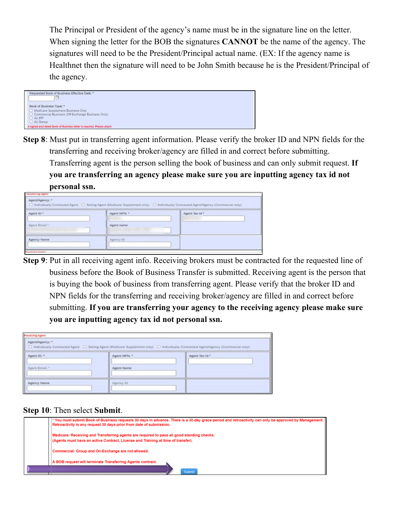The Principal or President of the agency's name must be in the signature line on the letter. When signing the letter for the BOB the signatures **CANNOT** be the name of the agency. The signatures will need to be the President/Principal actual name. (EX: If the agency name is Healthnet then the signature will need to be John Smith because he is the President/Principal of the agency.



**Step 8**: Must put in transferring agent information. Please verify the broker ID and NPN fields for the transferring and receiving broker/agency are filled in and correct before submitting. Transferring agent is the person selling the book of business and can only submit request. **If you are transferring an agency please make sure you are inputting agency tax id not personal ssn.** 

| <b><i>UNIVERSITY &amp; Agent</i></b> |                   |                                                                                                                                           |  |
|--------------------------------------|-------------------|-------------------------------------------------------------------------------------------------------------------------------------------|--|
| Agent/Agency: *                      |                   | [2] Individually Contracted Agent [2] Selling Agent (Medicare Supplement only) [2] Individually Contracted Agent/Agency (Commercial only) |  |
| Agent ID *                           | Agent NPN: *      | Agent Tax Id *                                                                                                                            |  |
| Agent Email."                        | Agent name<br>$-$ |                                                                                                                                           |  |
| Agency Name                          | Agency Id         |                                                                                                                                           |  |
| <b>Develope Seems</b>                |                   |                                                                                                                                           |  |

**Step 9**: Put in all receiving agent info. Receiving brokers must be contracted for the requested line of business before the Book of Business Transfer is submitted. Receiving agent is the person that is buying the book of business from transferring agent. Please verify that the broker ID and NPN fields for the transferring and receiving broker/agency are filled in and correct before submitting. **If you are transferring your agency to the receiving agency please make sure you are inputting agency tax id not personal ssn.** 

| <b>Hecelving Agent</b>                                                                                                                                     |              |                |  |  |  |  |
|------------------------------------------------------------------------------------------------------------------------------------------------------------|--------------|----------------|--|--|--|--|
| Agent/Agency: *<br>[ Individually Contracted Agent [ D Selling Agent (Medicare Supplement only) [ U Individually Contracted Agent/Agency (Commercial only) |              |                |  |  |  |  |
| Agent ID: *                                                                                                                                                | Agent NPN: * | Agent Tax Id * |  |  |  |  |
| Agent Email: *                                                                                                                                             | Agent Name   |                |  |  |  |  |
| <b>Apency Name</b>                                                                                                                                         | Agency Id.   |                |  |  |  |  |

**Step 10**: Then select **Submit**.